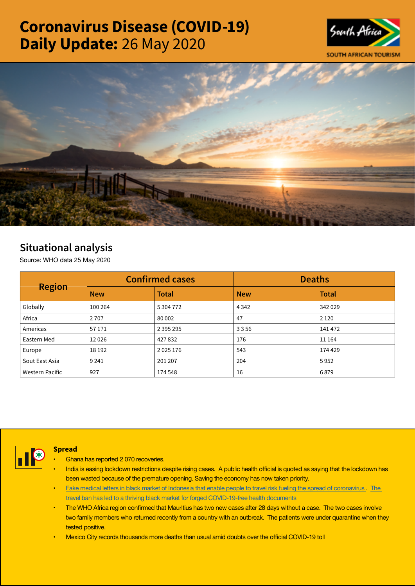# Coronavirus Disease (COVID-19) Daily Update: 26 May 2020





## Situational analysis

Source: WHO data 25 May 2020

| <b>Region</b>          |            | <b>Confirmed cases</b> | <b>Deaths</b> |              |  |
|------------------------|------------|------------------------|---------------|--------------|--|
|                        | <b>New</b> | <b>Total</b>           | <b>New</b>    | <b>Total</b> |  |
| Globally               | 100 264    | 5 304 772              | 4 3 4 2       | 342 029      |  |
| Africa                 | 2 7 0 7    | 80 002                 | 47            | 2 1 2 0      |  |
| Americas               | 57171      | 2 3 9 5 2 9 5          | 3356          | 141 472      |  |
| Eastern Med            | 12026      | 427832                 | 176           | 11 164       |  |
| Europe                 | 18 19 2    | 2 0 2 5 1 7 6          | 543           | 174 429      |  |
| Sout East Asia         | 9 2 4 1    | 201 207                | 204           | 5952         |  |
| <b>Western Pacific</b> | 927        | 174 548                | 16            | 6879         |  |



## **Spread**

- Ghana has reported 2 070 recoveries.
- India is easing lockdown restrictions despite rising cases. A public health official is quoted as saying that the lockdown has been wasted because of the premature opening. Saving the economy has now taken priority.
- [Fake medical letters in black market of Indonesia that enable people to travel risk fueling the spread of coronavirus](https://t.co/X2Ecxlr6aU?amp=1) . The [travel ban has led to a thriving black market for forged COVID-19-free health documents](https://t.co/LoTiQXz9cy?amp=1)
- The WHO Africa region confirmed that Mauritius has two new cases after 28 days without a case. The two cases involve two family members who returned recently from a country with an outbreak. The patients were under quarantine when they tested positive.
- Mexico City records [thousands](https://t.co/gIWMKrJM3a?amp=1) more deaths than usual amid doubts over the official COVID-19 toll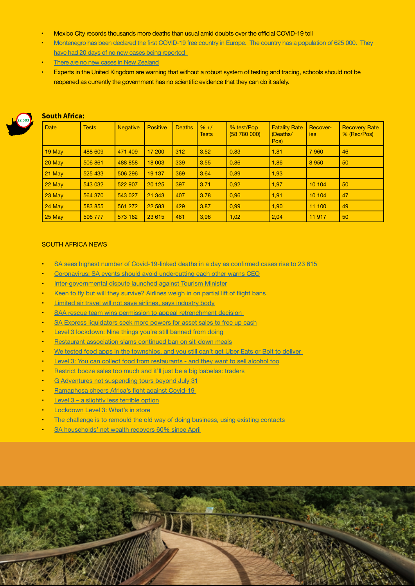- Mexico City records [thousands](https://t.co/gIWMKrJM3a?amp=1) more deaths than usual amid doubts over the official COVID-19 toll
- Montenegro has been declared the first COVID-19 free country in [Europe. The](https://is.gd/qmQHzr) country has a population of 625 000. They [have had 20 days of no new cases being reported](https://is.gd/qmQHzr)
- [There are no new cases in New Zealand](https://t.co/qQI5xBniK4?amp=1)
- Experts in the United Kingdom are warning that without a robust system of testing and tracing, schools should not be reopened as currently the government has no scientific evidence that they can do it safely.



## South Africa:

| <b>Date</b> | <b>Tests</b> | <b>Negative</b> | <b>Positive</b> | <b>Deaths</b> | $% +/$<br><b>Tests</b> | % test/Pop<br>(58780000) | <b>Fatality Rate</b><br>(Deaths/<br>Pos) | Recover-<br>ies | <b>Recovery Rate</b><br>% (Rec/Pos) |
|-------------|--------------|-----------------|-----------------|---------------|------------------------|--------------------------|------------------------------------------|-----------------|-------------------------------------|
| 19 May      | 488 609      | 471 409         | 17 200          | 312           | 3.52                   | 0.83                     | 1,81                                     | 7960            | 46                                  |
| 20 May      | 506 861      | 488 858         | 18 003          | 339           | 3,55                   | 0,86                     | 1,86                                     | 8 9 5 0         | 50                                  |
| $21$ May    | 525 433      | 506 296         | 19 137          | 369           | 3,64                   | 0,89                     | 1,93                                     |                 |                                     |
| 22 May      | 543 032      | 522 907         | 20 1 25         | 397           | 3,71                   | 0,92                     | 1,97                                     | 10 104          | 50                                  |
| 23 May      | 564 370      | 543 027         | 21 343          | 407           | 3.78                   | 0,96                     | 1,91                                     | 10 104          | 47                                  |
| 24 May      | 583 855      | 561 272         | 22 5 83         | 429           | 3,87                   | 0,99                     | 1,90                                     | 11 100          | 49                                  |
| $25$ May    | 596 777      | 573 162         | 23 615          | 481           | 3,96                   | 1,02                     | 2,04                                     | 11 917          | 50                                  |

#### SOUTH AFRICA NEWS

- SA sees highest number of [Covid-19-linked](https://www.iol.co.za/news/south-africa/sa-sees-highest-number-of-covid-19-linked-deaths-in-a-day-as-confirmed-cases-rise-to-23-615-48488977) deaths in a day as confirmed cases rise to 23 615
- [Coronavirus: SA events should avoid undercutting each other warns CEO](https://www.fin24.com/Companies/TravelAndLeisure/coronavirus-sa-events-should-avoid-undercutting-each-other-warns-ceo-20200525-2)
- [Inter-governmental dispute launched against Tourism Minister](http://www.tourismupdate.co.za/article/199506/Inter-governmental-dispute-launched-against-Tourism-Minister)
- Keen to fly but will they [survive?](https://www.fin24.com/Companies/Industrial/keen-to-fly-but-will-they-survive-airlines-weigh-in-on-partial-lift-of-flight-bans-20200525) Airlines weigh in on partial lift of flight bans
- [Limited air travel will not save airlines, says industry body](https://www.businesslive.co.za/bd/national/2020-05-25-limited-air-travel-will-not-save-airlines-says-industry-association/)
- SAA rescue team wins permission to appeal retrenchment decision
- SA Express [liquidators](https://www.dailymaverick.co.za/article/2020-05-25-sa-express-liquidators-seek-more-powers-for-asset-sales-to-free-up-cash/) seek more powers for asset sales to free up cash
- Level 3 [lockdown:](https://www.thesouthafrican.com/news/what-is-banned-level-3-can-i-meet-friends-south-africa/) Nine things you're still banned from doing
- [Restaurant association slams continued ban on sit-down meals](https://www.timeslive.co.za/news/south-africa/2020-05-25-restaurant-association-slams-continued-ban-on-sit-down-meals/)
- We tested food apps in the [townships,](https://www.businessinsider.co.za/delivery-apps-like-uber-eats-are-still-not-delivering-food-to-townships-2020-5) and you still can't get Uber Eats or Bolt to deliver
- Level 3: You can collect food from [restaurants](https://www.businessinsider.co.za/restaurants-are-now-allowed-to-do-collections-and-drive-through-2020-5) and they want to sell alcohol too
- Restrict booze sales too much and it'll just be a big [babelas:](https://select.timeslive.co.za/news/2020-05-26-restrict-booze-sales-too-much-and-itll-just-be-a-big-babelas-traders/) traders
- G Adventures not [suspending](https://www.iol.co.za/travel/travel-news/g-adventures-not-suspending-tours-beyond-july-31-48480978) tours beyond July 31
- **[Ramaphosa](https://www.businesslive.co.za/bd/national/2020-05-25-ramaphosa-cheers-africas-fight-against-covid-19/) cheers Africa's fight against Covid-19**
- Level  $3 a$  [slightly](https://www.dailymaverick.co.za/article/2020-05-26-level-3-a-slightly-less-terrible-option/) less terrible option
- **[Lockdown](https://www.dailymaverick.co.za/article/2020-05-26-lockdown-level-3-whats-in-store/) Level 3: What's in store**
- [The challenge is to remould the old way of doing business, using existing contacts](https://www.businesslive.co.za/bd/opinion/2020-05-25-the-challenge-is-to-remould-the-old-way-of-doing-business-using-existing-contacts/)
- SA [households'](https://www.iol.co.za/business-report/economy/sa-households-net-wealth-recovers-60-since-april-48488425) net wealth recovers 60% since April